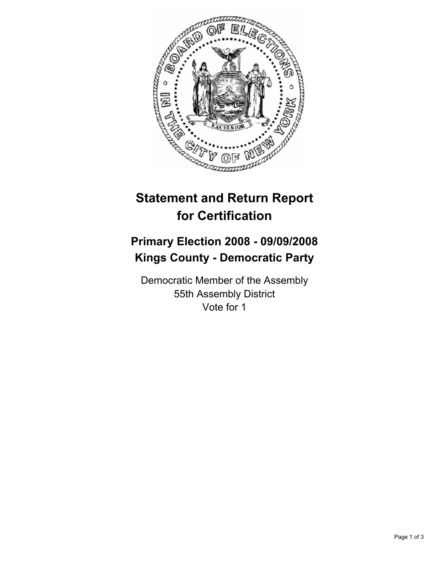

## **Statement and Return Report for Certification**

## **Primary Election 2008 - 09/09/2008 Kings County - Democratic Party**

Democratic Member of the Assembly 55th Assembly District Vote for 1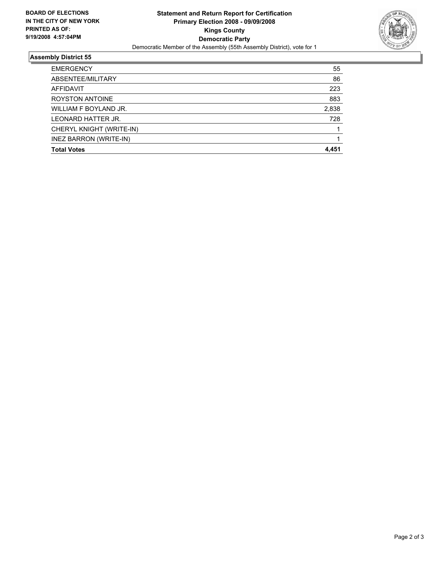

## **Assembly District 55**

| <b>EMERGENCY</b>         | 55    |
|--------------------------|-------|
| ABSENTEE/MILITARY        | 86    |
| AFFIDAVIT                | 223   |
| <b>ROYSTON ANTOINE</b>   | 883   |
| WILLIAM F BOYLAND JR.    | 2,838 |
| LEONARD HATTER JR.       | 728   |
| CHERYL KNIGHT (WRITE-IN) |       |
| INEZ BARRON (WRITE-IN)   |       |
| <b>Total Votes</b>       | 4,451 |